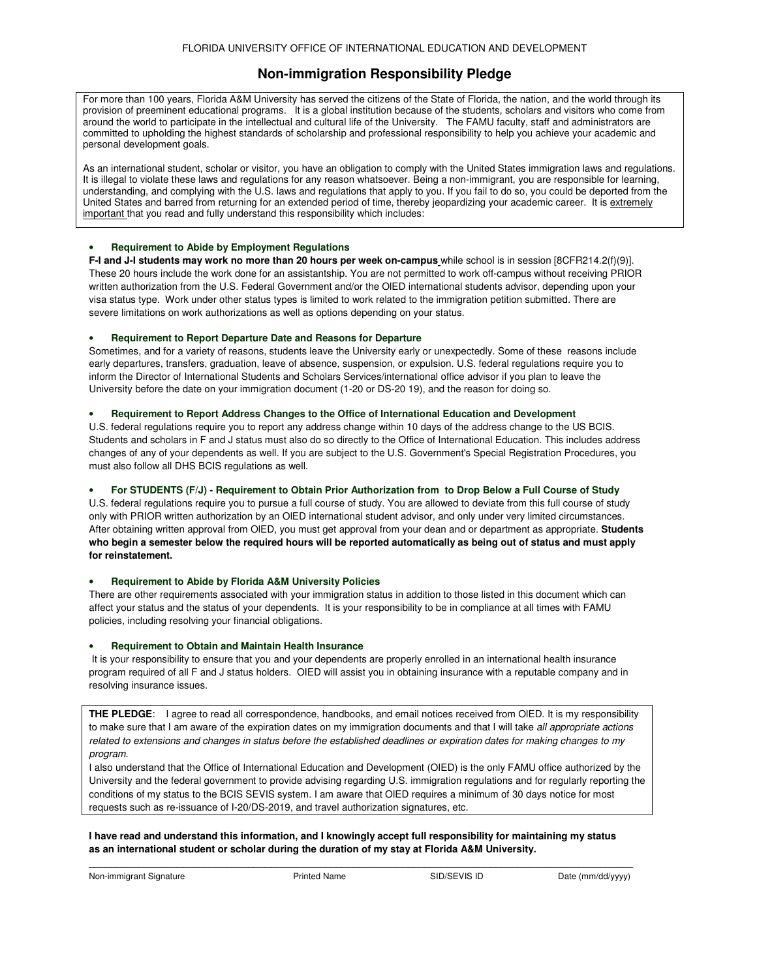# **Non-immigration Responsibility Pledge**

For more than 100 years, Florida A&M University has served the citizens of the State of Florida, the nation, and the world through its provision of preeminent educational programs. It is a global institution because of the students, scholars and visitors who come from around the world to participate in the intellectual and cultural life of the University. The FAMU faculty, staff and administrators are committed to upholding the highest standards of scholarship and professional responsibility to help you achieve your academic and personal development goals.

As an international student, scholar or visitor, you have an obligation to comply with the United States immigration laws and regulations. It is illegal to violate these laws and regulations for any reason whatsoever. Being a non-immigrant, you are responsible for learning, understanding, and complying with the U.S. laws and regulations that apply to you. If you fail to do so, you could be deported from the United States and barred from returning for an extended period of time, thereby jeopardizing your academic career. It is extremely important that you read and fully understand this responsibility which includes:

## • **Requirement to Abide by Employment Regulations**

**F-I and J-I students may work no more than 20 hours per week on-campus** while school is in session [8CFR214.2(f)(9)]. These 20 hours include the work done for an assistantship. You are not permitted to work off-campus without receiving PRIOR written authorization from the U.S. Federal Government and/or the OlED international students advisor, depending upon your visa status type. Work under other status types is limited to work related to the immigration petition submitted. There are severe limitations on work authorizations as well as options depending on your status.

# • **Requirement to Report Departure Date and Reasons for Departure**

Sometimes, and for a variety of reasons, students leave the University early or unexpectedly. Some of these reasons include early departures, transfers, graduation, leave of absence, suspension, or expulsion. U.S. federal regulations require you to inform the Director of International Students and Scholars Services/international office advisor if you plan to leave the University before the date on your immigration document (1-20 or DS-20 19), and the reason for doing so.

## • **Requirement to Report Address Changes to the Office of International Education and Development**

U.S. federal regulations require you to report any address change within 10 days of the address change to the US BCIS. Students and scholars in F and J status must also do so directly to the Office of International Education. This includes address changes of any of your dependents as well. If you are subject to the U.S. Government's Special Registration Procedures, you must also follow all DHS BCIS regulations as well.

# For STUDENTS (F/J) - Requirement to Obtain Prior Authorization from to Drop Below a Full Course of Study

U.S. federal regulations require you to pursue a full course of study. You are allowed to deviate from this full course of study only with PRIOR written authorization by an OlED international student advisor, and only under very limited circumstances. After obtaining written approval from OlED, you must get approval from your dean and or department as appropriate. **Students** who begin a semester below the required hours will be reported automatically as being out of status and must apply **for reinstatement.**

### • **Requirement to Abide by Florida A&M University Policies**

There are other requirements associated with your immigration status in addition to those listed in this document which can affect your status and the status of your dependents. It is your responsibility to be in compliance at all times with FAMU policies, including resolving your financial obligations.

### • **Requirement to Obtain and Maintain Health Insurance**

It is your responsibility to ensure that you and your dependents are properly enrolled in an international health insurance program required of all F and J status holders. OIED will assist you in obtaining insurance with a reputable company and in resolving insurance issues.

**THE PLEDGE**: I agree to read all correspondence, handbooks, and email notices received from OlED. It is my responsibility to make sure that I am aware of the expiration dates on my immigration documents and that I will take *all appropriate actions* related to extensions and changes in status before the established deadlines or expiration dates for making changes to my *program.*

I also understand that the Office of International Education and Development (OIED) is the only FAMU office authorized by the University and the federal government to provide advising regarding U.S. immigration regulations and for regularly reporting the conditions of my status to the BCIS SEVIS system. I am aware that OlED requires a minimum of 30 days notice for most requests such as re-issuance of I-20/DS-2019, and travel authorization signatures, etc.

I have read and understand this information, and I knowingly accept full responsibility for maintaining my status **as an international student or scholar during the duration of my stay at Florida A&M University.**

**\_\_\_\_\_\_\_\_\_\_\_\_\_\_\_\_\_\_\_\_\_\_\_\_\_\_\_\_\_\_\_\_\_\_\_\_\_\_\_\_\_\_\_\_\_\_\_\_\_\_\_\_\_\_\_\_\_\_\_\_\_\_\_\_\_\_\_\_\_\_\_\_\_\_\_\_\_\_\_\_\_\_\_\_\_\_\_\_\_\_\_\_\_\_\_\_\_\_\_**

Non-immigrant Signature **Non-immigrant Signature** Printed Name SID/SEVIS ID Date (mm/dd/yyyy)